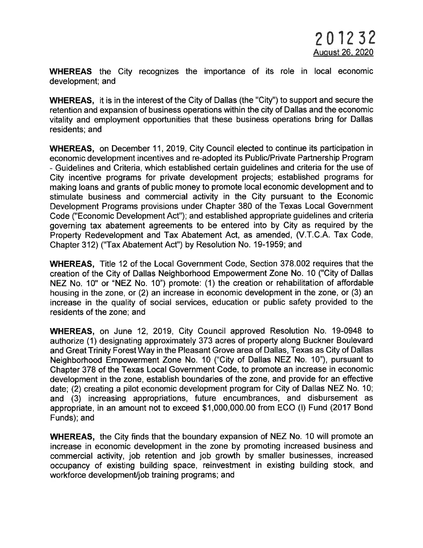WHEREAS the City recognizes the importance of its role in local economic development; and

WHEREAS, it is in the interest of the City of Dallas (the "City") to support and secure the retention and expansion of business operations within the city of Dallas and the economic vitality and employment opportunities that these business operations bring for Dallas residents; and

WHEREAS, on December 11,2019, City Council elected to continue its participation in economic development incentives and re-adopted its Public/Private Partnership Program - Guidelines and Criteria, which established certain guidelines and criteria for the use of City incentive programs for private development projects; established programs for making loans and grants of public money to promote local economic development and to stimulate business and commercial activity in the City pursuant to the Economic Development Programs provisions under Chapter 380 of the Texas Local Government Code ("Economic Development Act"); and established appropriate guidelines and criteria governing tax abatement agreements to be entered into by City as required by the Property Redevelopment and Tax Abatement Act, as amended, (V.T.C.A. Tax Code, Chapter 312) ("Tax Abatement Act") by Resolution No. 19-1959; and

WHEREAS, Title 12 of the Local Government Code, Section 378.002 requires that the creation of the City of Dallas Neighborhood Empowerment Zone No. 10 ("City of Dallas NEZ No. 10" or "NEZ No. 10") promote: (1) the creation or rehabilitation of affordable housing in the zone, or (2) an increase in economic development in the zone, or (3) an increase in the quality of social services, education or public safety provided to the residents of the zone; and

WHEREAS, on June 12,2019, City Council approved Resolution No. 19-0948 to authorize (1) designating approximately 373 acres of property along Buckner Boulevard and Great Trinity Forest Way in the Pleasant Grove area of Dallas, Texas as City of Dallas Neighborhood Empowermept Zone No. 10 ("City of Dallas NEZ No. 10"), pursuant to Chapter 378 of the Texas Local Government Code, to promote an increase in economic development in the zone, establish boundaries of the zone, and provide for an effective date; (2) creating a pilot economic development program for City of Dallas NEZ No. 10; and (3) increasing appropriations, future encumbrances, and disbursement as appropriate, in an amount not to exceed \$1,000,000.00 from ECO (l) Fund (2017 Bond Funds); and

WHEREAS, the City finds that the boundary expansion of NEZ No. 10 will promote an increase in economic development in the zone by promoting increased business and commercial activity, job retention and job growth by smaller businesses, increased occupancy of existing building space, reinvestment in existing building stock, and workforce development/job training programs; and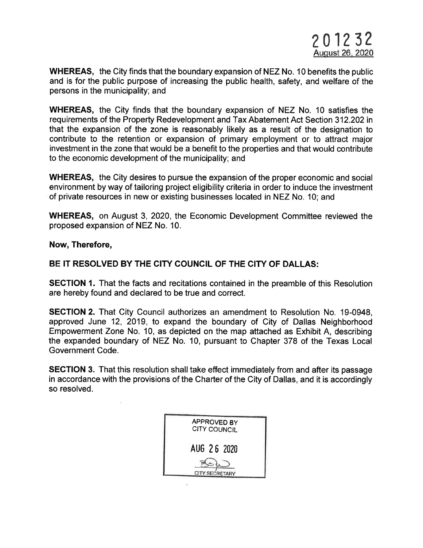WHEREAS, the City finds that the boundary expansion of NEZ No. 10 benefits the public and is for the public purpose of increasing the public health, safety, and welfare of the persons in the municipality; and

WHEREAS, the City finds that the boundary expansion of NEZ No. 10 satisfies the requirements of the Property Redevelopment and Tax Abatement Act Section 312.202 in that the expansion of the zone is reasonably likely as a result of the designation to contribute to the retention or expansion of primary employment or to attract major investment in the zone that would be a benefit to the properties and that would contribute to the economic development of the municipality; and

WHEREAS, the City desires to pursue the expansion of the proper economic and social environment by way of tailoring project eligibility criteria in order to induce the investment of private resources in new or existing businesses located in NEZ No. 10; and

WHEREAS, on August 3, 2020, the Economic Development Committee reviewed the proposed expansion of NEZ No. 10.

Now, Therefore,

## BE IT RESOLVED BY THE CITY COUNCIL OF THE CITY OF DALLAS:

SECTION 1. That the facts and recitations contained in the preamble of this Resolution are hereby found and declared to be true and correct.

**SECTION 2.** That City Council authorizes an amendment to Resolution No. 19-0948, approved June 12, 2019, to expand the boundary of City of Dallas Neighborhood Empowerment Zone No. 10, as depicted on the map attached as Exhibit A, describing the expanded boundary of NEZ No. 10, pursuant to Chapter 378 of the Texas Local Government Code.

**SECTION 3.** That this resolution shall take effect immediately from and after its passage in accordance with the provisions of the Charter of the City of Dallas, and it is accordingly so resolved.

| APPROVED BY<br><b>CITY COUNCIL</b> |  |
|------------------------------------|--|
| AUG 26 2020                        |  |
| <b>CITY SECRETARY</b>              |  |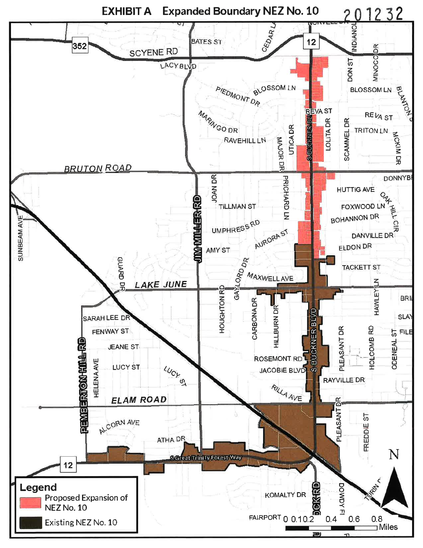